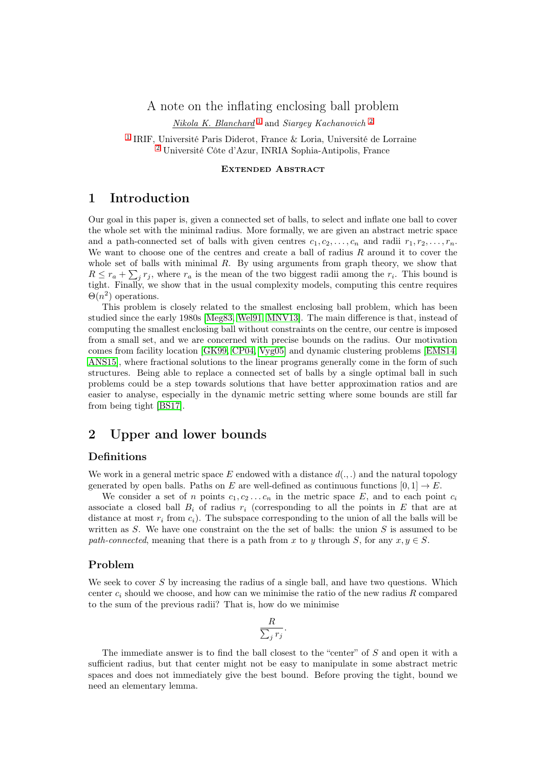# A note on the inflating enclosing ball problem

Nikola K. Blanchard<sup>[1](#page-0-0)</sup> and Siargey Kachanovich<sup>[2](#page-0-1)</sup>

<span id="page-0-1"></span><span id="page-0-0"></span>[1](#page-0-0) IRIF, Université Paris Diderot, France & Loria, Université de Lorraine [2](#page-0-1) Université Côte d'Azur, INRIA Sophia-Antipolis, France

#### Extended Abstract

## 1 Introduction

Our goal in this paper is, given a connected set of balls, to select and inflate one ball to cover the whole set with the minimal radius. More formally, we are given an abstract metric space and a path-connected set of balls with given centres  $c_1, c_2, \ldots, c_n$  and radii  $r_1, r_2, \ldots, r_n$ . We want to choose one of the centres and create a ball of radius  $R$  around it to cover the whole set of balls with minimal  $R$ . By using arguments from graph theory, we show that  $R \leq r_a + \sum_j r_j$ , where  $r_a$  is the mean of the two biggest radii among the  $r_i$ . This bound is tight. Finally, we show that in the usual complexity models, computing this centre requires  $\Theta(n^2)$  operations.

This problem is closely related to the smallest enclosing ball problem, which has been studied since the early 1980s [\[Meg83,](#page-3-0) [Wel91,](#page-3-1) [MNV13\]](#page-3-2). The main difference is that, instead of computing the smallest enclosing ball without constraints on the centre, our centre is imposed from a small set, and we are concerned with precise bounds on the radius. Our motivation comes from facility location [\[GK99,](#page-3-3) [CP04,](#page-3-4) [Vyg05\]](#page-3-5) and dynamic clustering problems [\[EMS14,](#page-3-6) [ANS15\]](#page-3-7), where fractional solutions to the linear programs generally come in the form of such structures. Being able to replace a connected set of balls by a single optimal ball in such problems could be a step towards solutions that have better approximation ratios and are easier to analyse, especially in the dynamic metric setting where some bounds are still far from being tight [\[BS17\]](#page-3-8).

## 2 Upper and lower bounds

#### Definitions

We work in a general metric space E endowed with a distance  $d(.,.)$  and the natural topology generated by open balls. Paths on E are well-defined as continuous functions  $[0, 1] \rightarrow E$ .

We consider a set of n points  $c_1, c_2 \ldots c_n$  in the metric space E, and to each point  $c_i$ associate a closed ball  $B_i$  of radius  $r_i$  (corresponding to all the points in E that are at distance at most  $r_i$  from  $c_i$ ). The subspace corresponding to the union of all the balls will be written as  $S$ . We have one constraint on the the set of balls: the union  $S$  is assumed to be path-connected, meaning that there is a path from x to y through S, for any  $x, y \in S$ .

#### Problem

We seek to cover S by increasing the radius of a single ball, and have two questions. Which center  $c_i$  should we choose, and how can we minimise the ratio of the new radius R compared to the sum of the previous radii? That is, how do we minimise

$$
\frac{R}{\sum_j r_j}.
$$

The immediate answer is to find the ball closest to the "center" of S and open it with a sufficient radius, but that center might not be easy to manipulate in some abstract metric spaces and does not immediately give the best bound. Before proving the tight, bound we need an elementary lemma.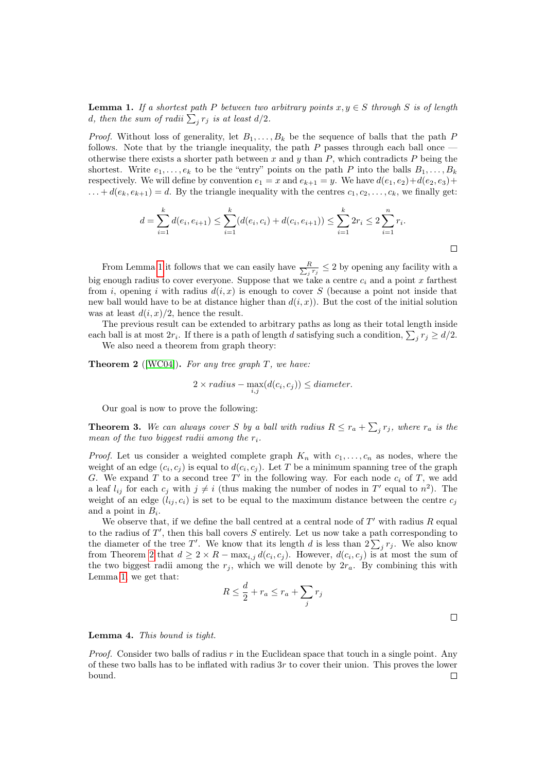<span id="page-1-0"></span>**Lemma 1.** If a shortest path P between two arbitrary points  $x, y \in S$  through S is of length d, then the sum of radii  $\sum_j r_j$  is at least  $d/2$ .

*Proof.* Without loss of generality, let  $B_1, \ldots, B_k$  be the sequence of balls that the path P follows. Note that by the triangle inequality, the path  $P$  passes through each ball once  $$ otherwise there exists a shorter path between x and y than  $P$ , which contradicts  $P$  being the shortest. Write  $e_1, \ldots, e_k$  to be the "entry" points on the path P into the balls  $B_1, \ldots, B_k$ respectively. We will define by convention  $e_1 = x$  and  $e_{k+1} = y$ . We have  $d(e_1, e_2) + d(e_2, e_3) + d(e_3, e_4)$  $\ldots + d(e_k, e_{k+1}) = d$ . By the triangle inequality with the centres  $c_1, c_2, \ldots, c_k$ , we finally get:

$$
d = \sum_{i=1}^{k} d(e_i, e_{i+1}) \leq \sum_{i=1}^{k} (d(e_i, e_i) + d(e_i, e_{i+1})) \leq \sum_{i=1}^{k} 2r_i \leq 2\sum_{i=1}^{n} r_i.
$$

From Lemma [1](#page-1-0) it follows that we can easily have  $\frac{R}{\sum_i R_i}$  $\frac{R}{j r_j} \leq 2$  by opening any facility with a big enough radius to cover everyone. Suppose that we take a centre  $c_i$  and a point x farthest from i, opening i with radius  $d(i, x)$  is enough to cover S (because a point not inside that new ball would have to be at distance higher than  $d(i, x)$ ). But the cost of the initial solution was at least  $d(i, x)/2$ , hence the result.

The previous result can be extended to arbitrary paths as long as their total length inside each ball is at most  $2r_i$ . If there is a path of length d satisfying such a condition,  $\sum_j r_j \geq d/2$ . We also need a theorem from graph theory:

<span id="page-1-1"></span>**Theorem 2** ([\[WC04\]](#page-3-9)). For any tree graph  $T$ , we have:

$$
2 \times radius - \max_{i,j} (d(c_i, c_j)) \leq diameter.
$$

Our goal is now to prove the following:

<span id="page-1-2"></span>**Theorem 3.** We can always cover S by a ball with radius  $R \leq r_a + \sum_j r_j$ , where  $r_a$  is the mean of the two biggest radii among the  $r_i$ .

*Proof.* Let us consider a weighted complete graph  $K_n$  with  $c_1, \ldots, c_n$  as nodes, where the weight of an edge  $(c_i, c_j)$  is equal to  $d(c_i, c_j)$ . Let T be a minimum spanning tree of the graph G. We expand T to a second tree  $T'$  in the following way. For each node  $c_i$  of T, we add a leaf  $l_{ij}$  for each  $c_j$  with  $j \neq i$  (thus making the number of nodes in T' equal to  $n^2$ ). The weight of an edge  $(l_{ij}, c_i)$  is set to be equal to the maximum distance between the centre  $c_j$ and a point in  $B_i$ .

We observe that, if we define the ball centred at a central node of  $T'$  with radius  $R$  equal to the radius of  $T'$ , then this ball covers  $S$  entirely. Let us now take a path corresponding to the diameter of the tree T'. We know that its length d is less than  $2\sum_j r_j$ . We also know from Theorem [2](#page-1-1) that  $d \geq 2 \times R - \max_{i,j} d(c_i, c_j)$ . However,  $d(c_i, c_j)$  is at most the sum of the two biggest radii among the  $r_j$ , which we will denote by  $2r_a$ . By combining this with Lemma [1,](#page-1-0) we get that:

$$
R \le \frac{d}{2} + r_a \le r_a + \sum_j r_j
$$

Lemma 4. This bound is tight.

*Proof.* Consider two balls of radius  $r$  in the Euclidean space that touch in a single point. Any of these two balls has to be inflated with radius 3r to cover their union. This proves the lower bound. $\Box$ 

 $\Box$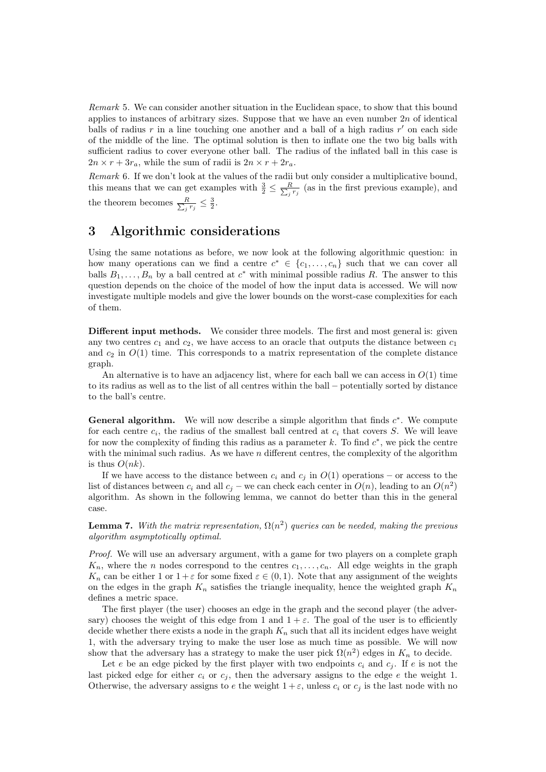Remark 5. We can consider another situation in the Euclidean space, to show that this bound applies to instances of arbitrary sizes. Suppose that we have an even number  $2n$  of identical balls of radius  $r$  in a line touching one another and a ball of a high radius  $r'$  on each side of the middle of the line. The optimal solution is then to inflate one the two big balls with sufficient radius to cover everyone other ball. The radius of the inflated ball in this case is  $2n \times r + 3r_a$ , while the sum of radii is  $2n \times r + 2r_a$ .

Remark 6. If we don't look at the values of the radii but only consider a multiplicative bound, this means that we can get examples with  $\frac{3}{2} \leq \frac{R}{\sum_i}$  $\frac{R}{i^{r_j}}$  (as in the first previous example), and the theorem becomes  $\frac{R}{\sum_i}$  $\frac{R}{j r_j} \leq \frac{3}{2}.$ 

### 3 Algorithmic considerations

Using the same notations as before, we now look at the following algorithmic question: in how many operations can we find a centre  $c^* \in \{c_1, \ldots, c_n\}$  such that we can cover all balls  $B_1, \ldots, B_n$  by a ball centred at  $c^*$  with minimal possible radius R. The answer to this question depends on the choice of the model of how the input data is accessed. We will now investigate multiple models and give the lower bounds on the worst-case complexities for each of them.

Different input methods. We consider three models. The first and most general is: given any two centres  $c_1$  and  $c_2$ , we have access to an oracle that outputs the distance between  $c_1$ and  $c_2$  in  $O(1)$  time. This corresponds to a matrix representation of the complete distance graph.

An alternative is to have an adjacency list, where for each ball we can access in  $O(1)$  time to its radius as well as to the list of all centres within the ball – potentially sorted by distance to the ball's centre.

General algorithm. We will now describe a simple algorithm that finds  $c^*$ . We compute for each centre  $c_i$ , the radius of the smallest ball centred at  $c_i$  that covers S. We will leave for now the complexity of finding this radius as a parameter  $k$ . To find  $c^*$ , we pick the centre with the minimal such radius. As we have  $n$  different centres, the complexity of the algorithm is thus  $O(nk)$ .

If we have access to the distance between  $c_i$  and  $c_j$  in  $O(1)$  operations – or access to the list of distances between  $c_i$  and all  $c_j$  – we can check each center in  $O(n)$ , leading to an  $O(n^2)$ algorithm. As shown in the following lemma, we cannot do better than this in the general case.

**Lemma 7.** With the matrix representation,  $\Omega(n^2)$  queries can be needed, making the previous algorithm asymptotically optimal.

Proof. We will use an adversary argument, with a game for two players on a complete graph  $K_n$ , where the *n* nodes correspond to the centres  $c_1, \ldots, c_n$ . All edge weights in the graph  $K_n$  can be either 1 or  $1 + \varepsilon$  for some fixed  $\varepsilon \in (0, 1)$ . Note that any assignment of the weights on the edges in the graph  $K_n$  satisfies the triangle inequality, hence the weighted graph  $K_n$ defines a metric space.

The first player (the user) chooses an edge in the graph and the second player (the adversary) chooses the weight of this edge from 1 and  $1 + \varepsilon$ . The goal of the user is to efficiently decide whether there exists a node in the graph  $K_n$  such that all its incident edges have weight 1, with the adversary trying to make the user lose as much time as possible. We will now show that the adversary has a strategy to make the user pick  $\Omega(n^2)$  edges in  $K_n$  to decide.

Let e be an edge picked by the first player with two endpoints  $c_i$  and  $c_j$ . If e is not the last picked edge for either  $c_i$  or  $c_j$ , then the adversary assigns to the edge e the weight 1. Otherwise, the adversary assigns to e the weight  $1+\varepsilon$ , unless  $c_i$  or  $c_j$  is the last node with no